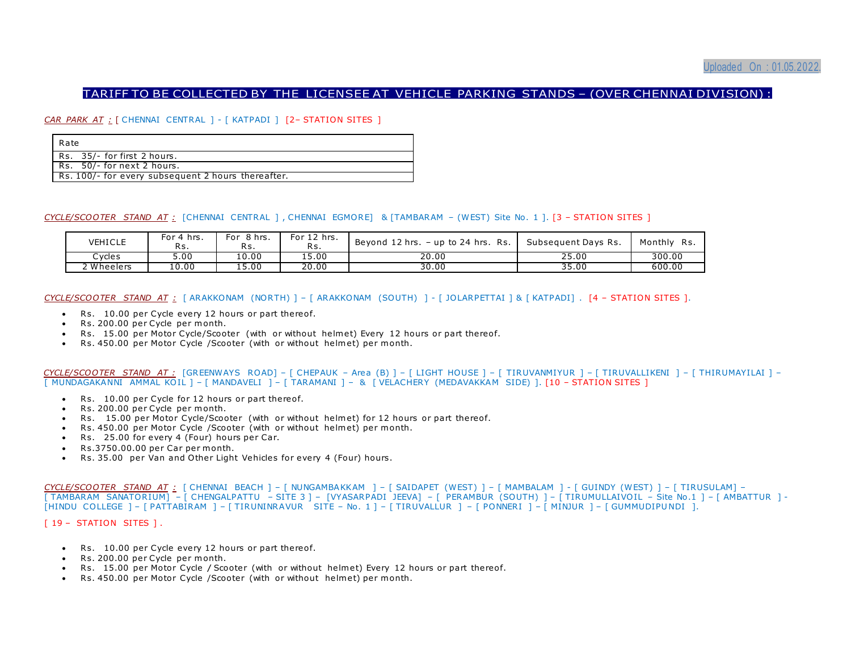### TARIFF TO BE COLLECTED BY THE LICENSEE AT VEHICLE PARKING STANDS – (OVER CHENNAI DIVISION) :

*CAR PARK AT :* [ CHENNAI CENTRAL ] - [ KATPADI ] [2– STATION SITES ]

| l Rate                                             |
|----------------------------------------------------|
| Rs. 35/- for first 2 hours.                        |
| $\vert$ Rs. 50/-for next 2 hours.                  |
| Rs. 100/- for every subsequent 2 hours thereafter. |

#### *CYCLE/SCOOTER STAND AT :* [CHENNAI CENTRAL ] , CHENNAI EGMORE] & [TAMBARAM – (WEST) Site No . 1 ]. [3 – STATION SITES ]

| <b>VEHICLE</b> | For 4 hrs.<br>ĸs | For 8 hrs.<br>Rs. | For 12 hrs.<br>Rs | Beyond 12 hrs. - up to 24 hrs. Rs. | Subsequent Days Rs. | Monthly Rs. |
|----------------|------------------|-------------------|-------------------|------------------------------------|---------------------|-------------|
| ∴vcles         | 5.00             | 10.00             | 15.00             | 20.00                              | 25.00               | 300.00      |
| ! Wheelers     | 10.00            | 15.00             | 20.00             | 30.00                              | 35.00               | 600.00      |

*CYCLE/SCOOTER STAND AT :* [ ARAKKONAM (NORTH) ] – [ ARAKKONAM (SOUTH) ] - [ JO LARPETTAI ] & [ KATPADI] . [4 – STATION SITES ].

- Rs. 10.00 per Cycle every 12 hours or part thereof.
- $\cdot$  Rs. 200.00 per Cycle per month.
- Rs. 15.00 per Motor Cycle/Scooter (with or without helmet) Every 12 hours or part thereof.
- B. Rs. 450.00 per Motor Cycle / Scooter (with or without helmet) per month.

```
CYCLE/SCOOTER STAND AT : [GREENWAYS ROAD] – [ CHEPAUK – Area (B) ] – [ LIGHT HOUSE ] – [ TIRUVANMIYUR ] – [ TIRUVALLIKENI ] – [ THIRUMAYILAI ] –
[ MUNDAGAKANNI AMMAL KO IL ] – [ MANDAVELI ] – [ TARAMANI ] – & [ VELACHERY (MEDAVAKKAM SIDE) ]. [10 – STATION SITES ]
```
- $\bullet$  Rs. 10.00 per Cycle for 12 hours or part thereof.
- Rs. 200.00 per Cycle per month.
- Rs. 15.00 per Motor Cycle/Scooter (with or without helmet) for 12 hours or part thereof.
- Rs. 450.00 per Motor Cycle / Scooter (with or without helmet) per month.
- Rs. 25.00 for every 4 (Four) hours per Car.
- $\cdot$  Rs.3750.00.00 per Car per month.
- Rs. 35.00 per Van and Other Light Vehicles for every 4 (Four) hours.

```
CYCLE/SCOOTER STAND AT : [ CHENNAI BEACH ] – [ NUNGAMBAKKAM ] – [ SAIDAPET (WEST) ] – [ MAMBALAM ] - [ GUINDY (WEST) ] – [ TIRUSULAM] –
[ TAMBARAM SANATORIUM] – [ CHENGALPATTU – SITE 3 ] – [VYASARPADI JEEVA] – [ PERAMBUR (SOUTH) ] – [ TIRUMULLAIVO IL – Site No .1 ] – [ AMBATTUR ] -
[HINDU COLLEGE ] – [ PATTABIRAM ] – [ TIRUNINRAVUR SITE – No. 1 ] – [ TIRUVALLUR ] – [ PONNERI ] – [ MINJUR ] – [ GUMMUDIPUNDI ].
```
[ 19 - STATION SITES ].

- Rs. 10.00 per Cycle every 12 hours or part thereof.
- Rs. 200.00 per Cycle per month.
- Rs. 15.00 per Motor Cycle / Scooter (with or without helmet) Every 12 hours or part thereof.
- Rs. 450.00 per Motor Cycle / Scooter (with or without helmet) per month.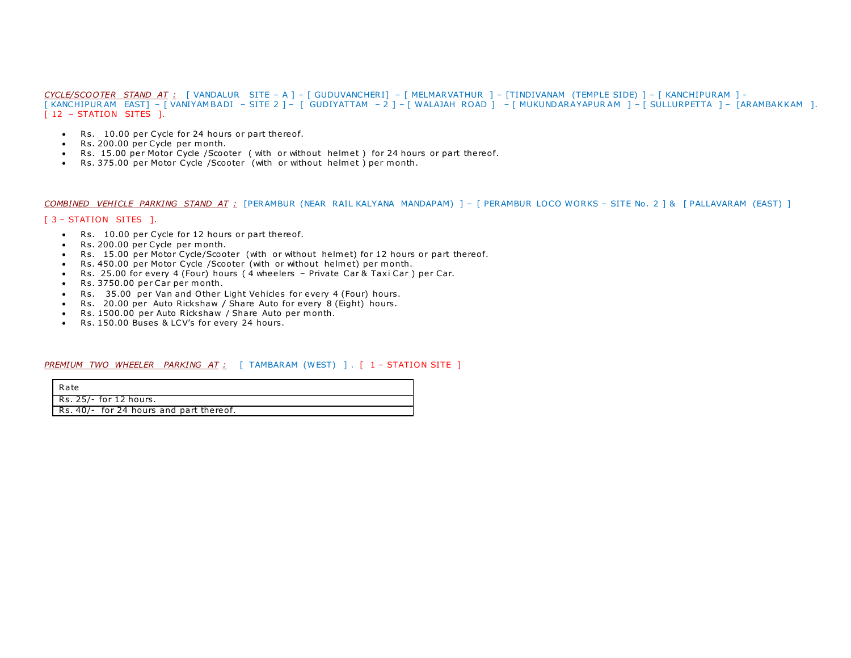*CYCLE/SCOOTER STAND AT :* [ VANDALUR SITE – A ] – [ GUDUVANCHERI] – [ MELMARVATHUR ] – [TINDIVANAM (TEMPLE SIDE) ] – [ KANCHIPURAM ] - [ KANCHIPUR AM EAST] – [ VANIYAM BADI – SITE 2 ] – [ GUDIYATTAM – 2 ] – [ WALAJAH ROAD ] – [ MUKUNDARAYAPUR AM ] – [ SULLURPETTA ] – [ARAMBAKKAM ]. [ 12 - STATION SITES ].

- Rs. 10.00 per Cycle for 24 hours or part thereof.
- Rs. 200.00 per Cycle per month.
- Rs. 15.00 per Motor Cycle / Scooter ( with or without helmet) for 24 hours or part thereof.
- Rs. 375.00 per Motor Cycle / Scooter (with or without helmet) per month.

*COMBINED VEHICLE PARKING STAND AT :* [PERAMBUR (NEAR RAIL KALYANA MANDAPAM) ] – [ PERAMBUR LOCO WORKS – SITE No . 2 ] & [ PALLAVARAM (EAST) ]

### [ 3 – STATION SITES ].

- Rs. 10.00 per Cycle for 12 hours or part thereof.
- Rs. 200.00 per Cycle per month.
- Rs. 15.00 per Motor Cycle/Scooter (with or without helmet) for 12 hours or part thereof.
- Rs. 450.00 per Motor Cycle / Scooter (with or without helmet) per month.
- Rs. 25.00 for every 4 (Four) hours (4 wheelers Private Car & Taxi Car) per Car.
- Rs. 3750.00 per Car per month.
- Rs. 35.00 per Van and O ther Light Vehicles for every 4 (Four) hours.
- Rs. 20.00 per Auto Rick shaw / Share Auto for every 8 (Eight) hours.
- Rs. 1500.00 per Auto Rickshaw / Share Auto per month.
- Rs. 150.00 Buses & LCV's for every 24 hours.

#### *PREMIUM TWO WHEELER PARKING AT :* [ TAMBARAM (WEST) ] . [ 1 – STATION SITE ]

| Rate                                    |
|-----------------------------------------|
| Rs. 25/- for 12 hours.                  |
| Rs. 40/- for 24 hours and part thereof. |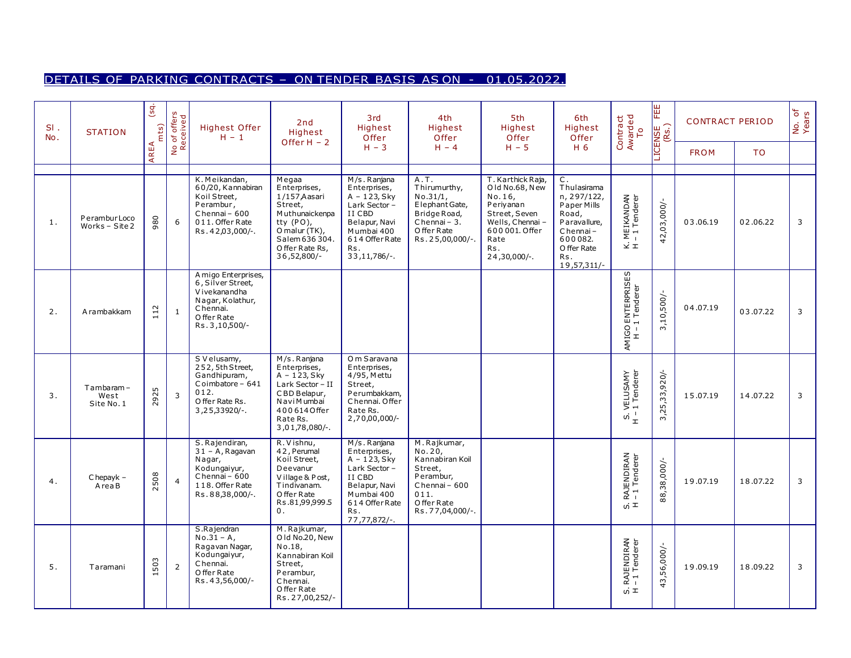# DETAILS OF PARKING CONTRACTS – ON TENDER BASIS AS ON - 01.05.2022.

| $SI$ .<br>No. | <b>STATION</b>                  | (sq.<br>mts | No of offers<br>Received | Highest Offer<br>$H - 1$                                                                                                    | 2nd<br>Highest<br>Offer $H - 2$                                                                                                                     | 3rd<br>Highest<br>Offer                                                                                                                              | 4th<br>Highest<br>Offer                                                                                                      | 5th<br>Highest<br>Offer                                                                                                                             | 6th<br>Highest<br>Offer                                                                                                                          | Contract<br>Awarded<br>To                      | EEE<br>LICENSE<br>(Rs.) | <b>CONTRACT PERIOD</b> |          | No. of<br>Years |
|---------------|---------------------------------|-------------|--------------------------|-----------------------------------------------------------------------------------------------------------------------------|-----------------------------------------------------------------------------------------------------------------------------------------------------|------------------------------------------------------------------------------------------------------------------------------------------------------|------------------------------------------------------------------------------------------------------------------------------|-----------------------------------------------------------------------------------------------------------------------------------------------------|--------------------------------------------------------------------------------------------------------------------------------------------------|------------------------------------------------|-------------------------|------------------------|----------|-----------------|
|               |                                 | AREA        |                          |                                                                                                                             |                                                                                                                                                     | $H - 3$                                                                                                                                              | $H - 4$                                                                                                                      | $H - 5$                                                                                                                                             | H 6                                                                                                                                              |                                                |                         | <b>FROM</b>            | TO.      |                 |
| 1.            | PeramburLoco<br>Works - Site 2  | 980         | 6                        | K. Meikandan,<br>60/20, Kannabiran<br>Koil Street,<br>Perambur,<br>Chennai - 600<br>011. Offer Rate<br>Rs.42,03,000/-.      | Megaa<br>Enterprises,<br>1/157 Aasari<br>Street,<br>Muthunaickenpa<br>tty (PO),<br>O malur (TK),<br>Salem 636 304.<br>Offer Rate Rs,<br>36,52,800/- | M/s. Ranjana<br>Enterprises,<br>$A - 123$ , Sky<br>Lark Sector-<br>II CBD<br>Belapur, Navi<br>Mumbai 400<br>614 Offer Rate<br>Rs.<br>$33,11,786/-$ . | A.T.<br>Thirumurthy,<br>No.31/1,<br>Elephant Gate,<br>Bridge Road,<br>Chennai-3.<br>O ffer Rate<br>Rs. 25,00,000/-.          | T. Karthick Raja,<br>Old No.68, New<br>No.16,<br>Periyanan<br>Street, Seven<br>Wells, Chennai -<br>600 001. Offer<br>Rate<br>Rs.<br>$24,30,000/-$ . | $\mathsf{C}$ .<br>Thulasirama<br>n, 297/122,<br>Paper Mills<br>Road,<br>Paravallure,<br>Chennai-<br>600082.<br>O ffer Rate<br>Rs.<br>19,57,311/- | MEIKANDAN<br>-1 Tenderer<br>¥τ                 | 42,03,000/-             | 03.06.19               | 02.06.22 | 3               |
| 2.            | A rambakkam                     | 112         | $\mathbf{1}$             | A migo Enterprises,<br>6, Silver Street,<br>V ive kanandha<br>Nagar, Kolathur,<br>Chennai.<br>O ffer Rate<br>Rs. 3,10,500/- |                                                                                                                                                     |                                                                                                                                                      |                                                                                                                              |                                                                                                                                                     |                                                                                                                                                  | AMIGO ENTERPRISES<br>H – 1 Tenderer            | 3,10,500/-              | 04.07.19               | 03.07.22 | 3               |
| 3.            | Tambaram-<br>West<br>Site No. 1 | 2925        | $\overline{3}$           | S V elusamy,<br>252, 5th Street,<br>Gandhipuram,<br>Coimbatore - 641<br>012.<br>O ffer Rate Rs.<br>$3,25,33920/-.$          | M/s. Ranjana<br>Enterprises,<br>$A - 123$ , Sky<br>Lark Sector - II<br>CBD Belapur,<br>Navi Mumbai<br>4006140ffer<br>Rate Rs.<br>$3,01,78,080/$ -.  | O m Saravana<br>Enterprises,<br>4/95, Mettu<br>Street,<br>Perumbakkam,<br>Chennai. Offer<br>Rate Rs.<br>-/000,000, 2                                 |                                                                                                                              |                                                                                                                                                     |                                                                                                                                                  | VELUSAMY<br>- 1 Tenderer<br>$\omega^{\dagger}$ | 3,25,33,920/-           | 15.07.19               | 14.07.22 | 3               |
| 4.            | $Chepayk -$<br>AreaB            | 2508        | $\overline{4}$           | S. Rajendiran,<br>$31 - A$ , Ragavan<br>Nagar,<br>Kodungaiyur,<br>$Chennai - 600$<br>118. Offer Rate<br>Rs.88,38,000/-.     | R. Vishnu,<br>42, Perumal<br>Koil Street,<br>Deevanur<br>Village & Post,<br>Tindivanam.<br>O ffer Rate<br>Rs.81,99,999.5<br>$\mathbf{0}$ .          | M/s. Ranjana<br>Enterprises,<br>$A - 123$ , Sky<br>Lark Sector -<br>II CBD<br>Belapur, Navi<br>Mumbai 400<br>614 Offer Rate<br>Rs.<br>77,77,872/-.   | M. Rajkumar,<br>No.20,<br>Kannabiran Koil<br>Street,<br>Perambur,<br>Chennai - 600<br>011.<br>Offer Rate<br>Rs. 77,04,000/-. |                                                                                                                                                     |                                                                                                                                                  | RAJENDIRAN<br>-1 Tenderer<br>ທ່ $\pm$          | 88,38,000/-             | 19.07.19               | 18.07.22 | 3               |
| 5.            | Taramani                        | 503         | $\overline{2}$           | S.Rajendran<br>$No.31 - A,$<br>Ragavan Nagar,<br>Kodungaiyur,<br>Chennai.<br>O ffer Rate<br>Rs.43,56,000/-                  | M. Rajkumar,<br>Old No.20, New<br>No.18,<br>Kannabiran Koil<br>Street,<br>Perambur,<br>Chennai.<br>O ffer Rate<br>Rs. 27,00,252/-                   |                                                                                                                                                      |                                                                                                                              |                                                                                                                                                     |                                                                                                                                                  | RAJENDIRAN<br>-1 Tenderer<br>ທ່≖               | 43,56,000/-             | 19.09.19               | 18.09.22 | 3               |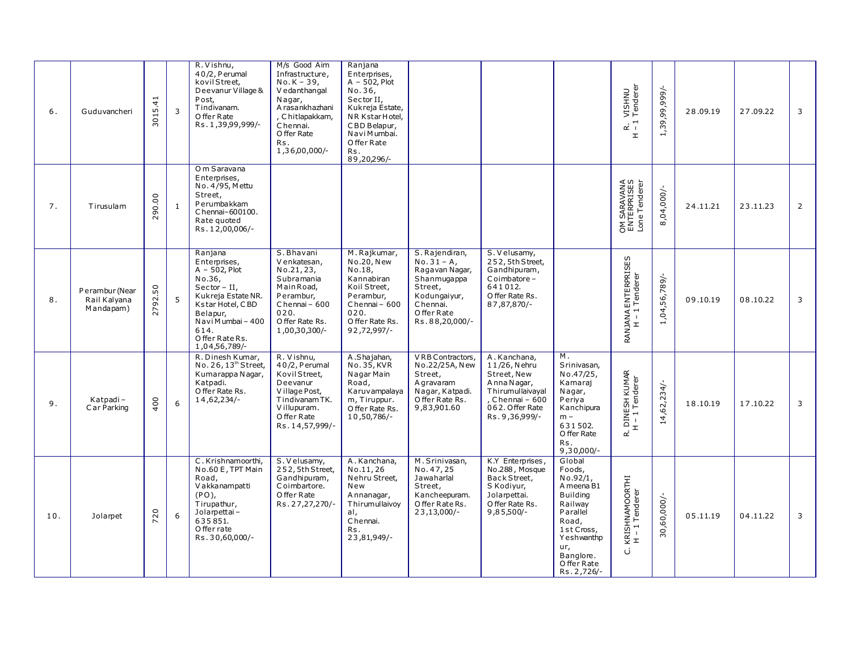| 6.  | Guduvancheri                                | $\frac{4}{1}$<br>3015. | 3            | R. Vishnu,<br>40/2, Perumal<br>kovilStreet.<br>Deevanur Village &<br>Post.<br>Tindivanam.<br>O ffer Rate<br>Rs. 1,39,99,999/-                                                                        | M/s Good Aim<br>Infrastructure,<br>$No. K - 39,$<br>V edanthangal<br>Nagar,<br>A rasankhazhani<br>, Chitlapakkam,<br>Chennai.<br>O ffer Rate<br>Rs.<br>1,36,00,000/- | Ranjana<br>Enterprises,<br>$A - 502$ , Plot<br>No.36,<br>Sector II.<br>Kukreja Estate,<br>NR KstarHotel,<br>CBD Belapur,<br>Navi Mumbai.<br>O ffer Rate<br>Rs.<br>89,20,296/- |                                                                                                                                         |                                                                                                                                          |                                                                                                                                                                             | VISHNU<br>Tenderer<br>∵ ئە<br>$\mathbbmss{E}$ | -/666'66'50'<br>$\vec{r}$ | 28.09.19 | 27.09.22 | 3              |
|-----|---------------------------------------------|------------------------|--------------|------------------------------------------------------------------------------------------------------------------------------------------------------------------------------------------------------|----------------------------------------------------------------------------------------------------------------------------------------------------------------------|-------------------------------------------------------------------------------------------------------------------------------------------------------------------------------|-----------------------------------------------------------------------------------------------------------------------------------------|------------------------------------------------------------------------------------------------------------------------------------------|-----------------------------------------------------------------------------------------------------------------------------------------------------------------------------|-----------------------------------------------|---------------------------|----------|----------|----------------|
| 7.  | Tirusulam                                   | 290.00                 | $\mathbf{1}$ | O m Saravana<br>Enterprises,<br>No. 4/95, Mettu<br>Street,<br>Perumbakkam<br>Chennai-600100.<br>Rate guoted<br>Rs.12,00,006/-                                                                        |                                                                                                                                                                      |                                                                                                                                                                               |                                                                                                                                         |                                                                                                                                          |                                                                                                                                                                             | OM SARAVANA<br>ENTERPRISES<br>Lone Tenderer   | 8,04,000/-                | 24.11.21 | 23.11.23 | $\overline{2}$ |
| 8.  | Perambur (Near<br>Rail Kalyana<br>Mandapam) | 50<br>2792.            | 5            | Ranjana<br>Enterprises,<br>$A - 502$ , Plot<br>No.36,<br>$Sector - II$ ,<br>Kukreja Estate NR.<br>Kstar Hotel, CBD<br>Belapur,<br>$N$ avi $M$ umbai - 400<br>614.<br>Offer Rate Rs.<br>1,04,56,789/- | S. Bhavani<br>Venkatesan,<br>No.21, 23,<br>Subramania<br>Main Road,<br>Perambur,<br>Chennai - 600<br>020.<br>O ffer Rate Rs.<br>1,00,30,300/-                        | M. Rajkumar,<br>No.20, New<br>No.18,<br>Kannabiran<br>Koil Street,<br>Perambur,<br>Chennai-600<br>020.<br>O ffer Rate Rs.<br>92,72,997/-                                      | S. Rajendiran,<br>$No.31 - A,$<br>Ragavan Nagar,<br>Shanmuqappa<br>Street,<br>Kodungaiyur,<br>Chennai.<br>O ffer Rate<br>Rs.88,20,000/- | S. Velusamy,<br>252, 5th Street,<br>Gandhipuram,<br>Coimbatore-<br>641012.<br>O ffer Rate Rs.<br>87,87,870/-                             |                                                                                                                                                                             | RANJANA ENTERPRISES<br>H – 1 Tenderer         | 1,04,56,789/-             | 09.10.19 | 08.10.22 | 3              |
| 9.  | Katpadi-<br>Car Parking                     | 400                    | 6            | R. Dinesh Kumar,<br>No. 26, 13 <sup>th</sup> Street,<br>Kumarappa Nagar,<br>Katpadi.<br>O ffer Rate Rs.<br>14,62,234/-                                                                               | R. Vishnu,<br>40/2, Perumal<br>Kovil Street,<br>Deevanur<br>Village Post,<br>Tindivanam TK.<br>Villupuram.<br>O ffer Rate<br>Rs. 14,57,999/-                         | A.Shajahan,<br>No. 35, KVR<br>Nagar Main<br>Road,<br>Karuvampalaya<br>m, Tiruppur.<br>O ffer Rate Rs.<br>10,50,786/-                                                          | VRB Contractors,<br>No.22/25A, New<br>Street,<br>A gravaram<br>Nagar, Katpadi.<br>Offer Rate Rs.<br>9,83,901.60                         | A.Kanchana,<br>11/26, Nehru<br>Street, New<br>A nna Nagar,<br>Thirumullaivayal<br>. Chennai - 600<br>062. Offer Rate<br>Rs. 9, 36, 999/- | M <sub>1</sub><br>Srinivasan,<br>No.47/25,<br>Kamaraj<br>Nagar,<br>Periva<br>Kanchipura<br>$m -$<br>631502.<br>O ffer Rate<br>Rs.<br>$9,30,000/-$                           | . DINESH KUMAR<br>H – 1 Tenderer<br>œ         | 14,62,234/                | 18.10.19 | 17.10.22 | 3              |
| 10. | Jolarpet                                    | 720                    | 6            | C.Krishnamoorthi,<br>No.60 E, TPT Main<br>Road,<br>V akkanampatti<br>$(PO)$ ,<br>Tirupathur,<br>Jolamettai-<br>635851.<br>O ffer rate<br>Rs.30,60,000/-                                              | S. Velusamy,<br>252, 5th Street,<br>Gandhipuram,<br>Coimbartore.<br>O ffer Rate<br>Rs. 27, 27, 270/-                                                                 | A.Kanchana,<br>No.11,26<br>Nehru Street,<br>New<br>Annanagar,<br>Thirumullaivoy<br>al,<br>Chennai.<br>Rs.<br>23,81,949/-                                                      | M. Srinivasan,<br>No. 47, 25<br>Jawaharlal<br>Street,<br>Kancheepuram.<br>Offer Rate Rs.<br>$23,13,000/-$                               | K.Y Enterprises,<br>No.288, Mosque<br>Back Street,<br>S Kodiyur,<br>Jolamettai.<br>O ffer Rate Rs.<br>$9,85,500/-$                       | Global<br>Foods,<br>No.92/1,<br>A meena B1<br><b>Building</b><br>Railway<br>Parallel<br>Road,<br>1st Cross,<br>Yeshwanthp<br>ur,<br>Banglore.<br>O ffer Rate<br>Rs. 2,726/- | KRISHNAMOORTHI<br>H - 1 Tenderer<br>ن         | 30,60,000/-               | 05.11.19 | 04.11.22 | 3              |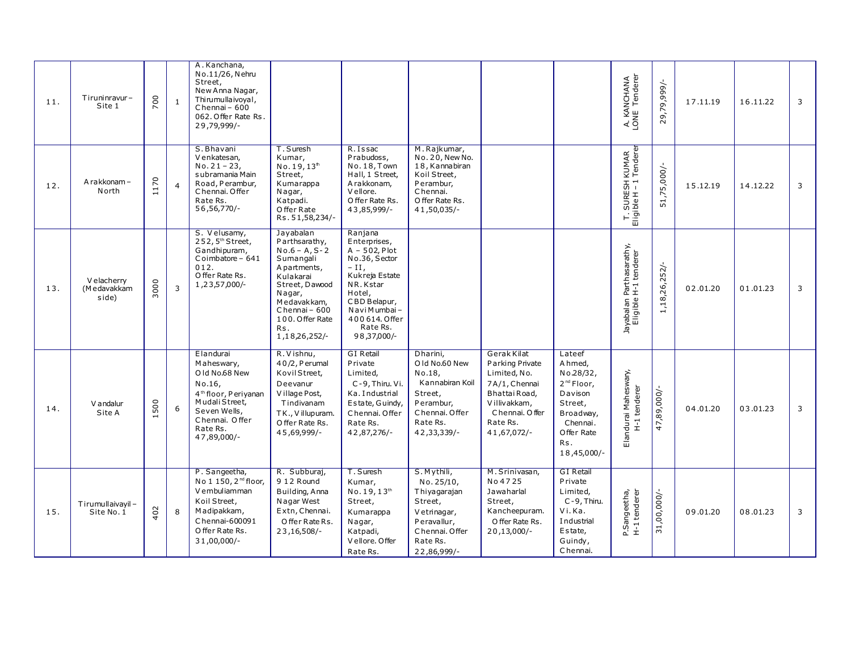| 11. | Tiruninravur-<br>Site 1             | 700  | 1              | A.Kanchana,<br>No.11/26, Nehru<br>Street,<br>New Anna Nagar,<br>Thirumullaivoyal,<br>$Chenna - 600$<br>062. Offer Rate Rs.<br>29,79,999/-                            |                                                                                                                                                                                                     |                                                                                                                                                                                               |                                                                                                                                 |                                                                                                                                                      |                                                                                                                                  | A. KANCHANA<br>LONE Tenderer                         | 29,79,999/-   | 17.11.19 | 16.11.22 | 3              |
|-----|-------------------------------------|------|----------------|----------------------------------------------------------------------------------------------------------------------------------------------------------------------|-----------------------------------------------------------------------------------------------------------------------------------------------------------------------------------------------------|-----------------------------------------------------------------------------------------------------------------------------------------------------------------------------------------------|---------------------------------------------------------------------------------------------------------------------------------|------------------------------------------------------------------------------------------------------------------------------------------------------|----------------------------------------------------------------------------------------------------------------------------------|------------------------------------------------------|---------------|----------|----------|----------------|
| 12. | A rakkonam-<br>North                | 1170 | $\overline{4}$ | S. Bhavani<br>V enkatesan,<br>$No. 21 - 23,$<br>subramania Main<br>Road, Perambur,<br>Chennai. Offer<br>Rate Rs.<br>56, 56, 770/-                                    | T. Suresh<br>Kumar,<br>No. 19.13 <sup>th</sup><br>Street,<br>Kumarappa<br>Nagar,<br>Katpadi.<br>Offer Rate<br>Rs. 51, 58, 234/-                                                                     | R. Issac<br>Prabudoss,<br>No. 18, Town<br>Hall, 1 Street,<br>A rakkonam,<br>V ellore.<br>O ffer Rate Rs.<br>43,85,999/-                                                                       | M. Rajkumar,<br>No. 20, New No.<br>18, Kannabiran<br>Koil Street,<br>Perambur,<br>Chennai.<br>O ffer Rate Rs.<br>41,50,035/-    |                                                                                                                                                      |                                                                                                                                  | KUMAR<br>Tenderer<br>T. SURESH k<br>Eligible H – 1 1 | 51,75,000/-   | 15.12.19 | 14.12.22 | 3              |
| 13. | V elacherry<br>(Medavakkam<br>side) | 3000 | 3              | S. Velusamy,<br>252, 5 <sup>th</sup> Street,<br>Gandhipuram,<br>Coimbatore - 641<br>012.<br>O ffer Rate Rs.<br>1,23,57,000/-                                         | Jayabalan<br>Parthsarathy,<br>$No.6 - A. S - 2$<br>Sumangali<br>A partments,<br>Kulakarai<br>Street, Dawood<br>Nagar,<br>Medavakkam,<br>Chennai - 600<br>100. Offer Rate<br>Rs.<br>1, 18, 26, 252/- | Ranjana<br>Enterprises,<br>$A - 502$ , Plot<br>No.36, Sector<br>$-II$ ,<br>Kukreja Estate<br>NR. Kstar<br>Hotel,<br>CBD Belapur,<br>Navi Mumbai-<br>400 614. Offer<br>Rate Rs.<br>98,37,000/- |                                                                                                                                 |                                                                                                                                                      |                                                                                                                                  | Jayabalan Parthasarathy,<br>Eligible H-1 tenderer    | 1,18,26,252/- | 02.01.20 | 01.01.23 | $\overline{3}$ |
| 14. | V andalur<br>Site A                 | 500  | 6              | Elandurai<br>Maheswary,<br>Old No.68 New<br>No.16,<br>4 <sup>th</sup> floor, Periyanan<br>MudaliStreet,<br>Seven Wells,<br>Chennai. Offer<br>Rate Rs.<br>47,89,000/- | R. Vishnu,<br>40/2, Perumal<br>Kovil Street,<br>Deevanur<br>Village Post,<br>Tindivanam<br>TK., Villupuram.<br>Offer Rate Rs.<br>45,69,999/-                                                        | <b>GI Retail</b><br>Private<br>Limited,<br>C-9, Thiru, Vi.<br>Ka. Industrial<br>Estate, Guindy,<br>Chennai. Offer<br>Rate Rs.<br>42,87,276/-                                                  | Dharini,<br>Old No.60 New<br>No.18,<br>Kannabiran Koil<br>Street,<br>Perambur,<br>Chennai, Offer<br>Rate Rs.<br>42,33,339/-     | <b>Gerak Kilat</b><br>Parking Private<br>Limited, No.<br>7A/1, Chennai<br>Bhattai Road,<br>Villivakkam,<br>Chennai, Offer<br>Rate Rs.<br>41,67,072/- | Lateef<br>Ahmed,<br>No.28/32,<br>$2nd$ Floor,<br>Davison<br>Street,<br>Broadway,<br>Chennai.<br>Offer Rate<br>Rs.<br>18,45,000/- | Elandurai Maheswary,<br>H-1 tenderer                 | 47,89,000/    | 04.01.20 | 03.01.23 | 3              |
| 15. | Tirumullaivayil-<br>Site No. 1      | 402  | 8              | P. Sangeetha,<br>No 1 150, 2 <sup>nd</sup> floor,<br>V embuliamman<br>Koil Street,<br>Madipakkam,<br>Chennai-600091<br>Offer Rate Rs.<br>$31,00,000/-$               | R. Subburaj,<br>912 Round<br>Building, Anna<br>Nagar West<br>Extn, Chennai.<br>Offer Rate Rs.<br>23, 16, 508/-                                                                                      | T. Suresh<br>Kumar,<br>No. 19, 13th<br>Street,<br>Kumarappa<br>Nagar,<br>Katpadi,<br>V ellore. Offer<br>Rate Rs.                                                                              | S. Mythili,<br>No. 25/10,<br>Thiyagarajan<br>Street,<br>Vetrinagar,<br>Peravallur,<br>Chennai. Offer<br>Rate Rs.<br>22,86,999/- | M. Srinivasan,<br>No 4725<br>Jawaharlal<br>Street,<br>Kancheepuram.<br>O ffer Rate Rs.<br>$20,13,000/-$                                              | <b>GI Retail</b><br>Private<br>Limited,<br>$C - 9$ . Thiru.<br>Vi.Ka.<br>Industrial<br>Estate,<br>Guindy,<br>Chennai.            | P.Sangeetha,<br>H-1 tenderer                         | 31,00,000/-   | 09.01.20 | 08.01.23 | 3              |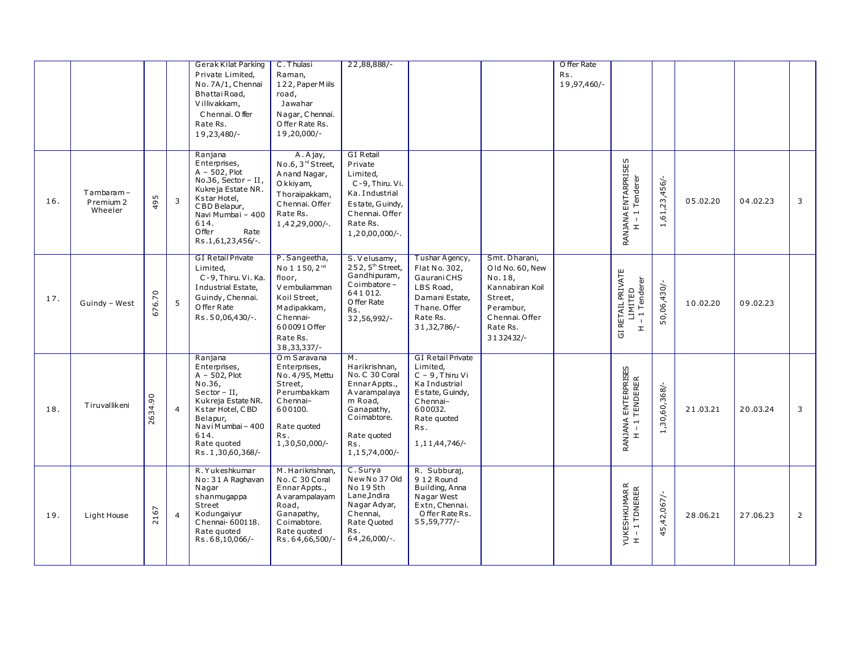|     |                                   |                      |                | <b>Gerak Kilat Parking</b>                                                                                                                                                                  | C. Thulasi                                                                                                                                                    | 22,88,888/-                                                                                                                                           |                                                                                                                                                                 |                                                                                                                                  | O ffer Rate        |                                                                                              |                        |          |          |                |
|-----|-----------------------------------|----------------------|----------------|---------------------------------------------------------------------------------------------------------------------------------------------------------------------------------------------|---------------------------------------------------------------------------------------------------------------------------------------------------------------|-------------------------------------------------------------------------------------------------------------------------------------------------------|-----------------------------------------------------------------------------------------------------------------------------------------------------------------|----------------------------------------------------------------------------------------------------------------------------------|--------------------|----------------------------------------------------------------------------------------------|------------------------|----------|----------|----------------|
|     |                                   |                      |                | Private Limited,<br>No. 7A/1, Chennai<br>Bhattai Road,<br>V illivakkam,<br>Chennai. Offer<br>Rate Rs.<br>19,23,480/-                                                                        | Raman,<br>122, Paper Miils<br>road,<br>Jawahar<br>Nagar, Chennai.<br>Offer Rate Rs.<br>19,20,000/-                                                            |                                                                                                                                                       |                                                                                                                                                                 |                                                                                                                                  | Rs.<br>19,97,460/- |                                                                                              |                        |          |          |                |
| 16. | Tambaram-<br>Premium 2<br>Wheeler | LO.<br>$\frac{9}{4}$ | $\overline{3}$ | Ranjana<br>Enterprises,<br>$A - 502$ , Plot<br>No.36, Sector - II,<br>Kukreja Estate NR.<br>Kstar Hotel,<br>CBD Belapur,<br>Navi Mumbai - 400<br>614.<br>Offer<br>Rate<br>Rs.1,61,23,456/-. | A.Ajay,<br>No.6, 3rd Street,<br>A nand Nagar,<br>O kkiyam,<br>Thoraipakkam,<br>Chennai. Offer<br>Rate Rs.<br>1,42,29,000/-.                                   | <b>GI</b> Retail<br>Private<br>Limited,<br>C-9, Thiru. Vi.<br>Ka. Industrial<br>Estate, Guindy,<br>Chennai. Offer<br>Rate Rs.<br>1,20,00,000/-.       |                                                                                                                                                                 |                                                                                                                                  |                    | RANJANA ENTARPRISES<br>Tenderer<br>$\overline{\phantom{a}}$<br>$\overline{1}$<br>$\mathbf r$ | 1,61,23,456/-          | 05.02.20 | 04.02.23 | 3              |
| 17. | Guindy - West                     | 676.70               | 5              | <b>GI Retail Private</b><br>Limited,<br>C-9, Thiru. Vi. Ka.<br>Industrial Estate,<br>Guindy, Chennai.<br>O ffer Rate<br>Rs.50,06,430/-.                                                     | P. Sangeetha,<br>No 1 1 50, 2 <sup>nd</sup><br>floor,<br>V embuliamman<br>Koil Street,<br>Madipakkam,<br>Chennai-<br>6000910ffer<br>Rate Rs.<br>38, 33, 337/- | S. Velusamy,<br>252, 5 <sup>th</sup> Street,<br>Gandhipuram,<br>Coimbatore-<br>641012.<br>O ffer Rate<br>Rs.<br>32,56,992/-                           | Tushar Agency,<br>Flat No. 302,<br>Gaurani CHS<br>LBS Road,<br>Damani Estate,<br>Thane. Offer<br>Rate Rs.<br>31, 32, 786/-                                      | Smt. Dharani,<br>Old No. 60, New<br>No.18,<br>Kannabiran Koil<br>Street,<br>Perambur,<br>Chennai. Offer<br>Rate Rs.<br>3132432/- |                    | GI RETAIL PRIVATE<br>LIMITED<br>Tenderer<br>$\blacksquare$<br>$\mathbf{r}$                   | 50,06,430/-            | 10.02.20 | 09.02.23 |                |
| 18. | Tiruvallikeni                     | 2634.90              | $\overline{4}$ | Ranjana<br>Enterprises,<br>$A - 502$ , Plot<br>No.36,<br>$Sector - II$ ,<br>Kukreja Estate NR.<br>Kstar Hotel, CBD<br>Belapur,<br>NaviMumbai-400<br>614.<br>Rate quoted<br>Rs.1,30,60,368/- | Om Saravana<br>Enterprises,<br>No. 4/95, Mettu<br>Street,<br>Perumbakkam<br>Chennai-<br>600100.<br>Rate quoted<br>Rs.<br>1,30,50,000/-                        | M.<br>Harikrishnan,<br>No. C 30 Coral<br>EnnarAppts.,<br>A varampalaya<br>m Road,<br>Ganapathy,<br>Coimabtore.<br>Rate quoted<br>Rs.<br>1,15,74,000/- | <b>GI Retail Private</b><br>Limited,<br>$C - 9$ , Thiru Vi<br>Ka Industrial<br>Estate, Guindy,<br>Chennai-<br>600032.<br>Rate quoted<br>Rs.<br>1, 11, 44, 746/- |                                                                                                                                  |                    | RANJANA ENTERPRISES<br>H - 1 TENDERER                                                        | 30,60,368<br>$\vec{+}$ | 21.03.21 | 20.03.24 | 3              |
| 19. | Light House                       | 2167                 | $\overline{4}$ | R. Yukeshkumar<br>No: 31 A Raghavan<br>Nagar<br>shanmuqappa<br>Street<br>Kodungaiyur<br>Chennai-600118.<br>Rate quoted<br>Rs.68,10,066/-                                                    | M. Harikrishnan,<br>No. C 30 Coral<br>EnnarAppts.,<br>A varampalayam<br>Road,<br>Ganapathy,<br>Coimabtore.<br>Rate quoted<br>Rs.64,66,500/-                   | C. Surya<br>New No 37 Old<br>No 195th<br>Lane, Indira<br>Nagar Adyar,<br>Chennai,<br>Rate Quoted<br>Rs.<br>$64,26,000/-$ .                            | R. Subburaj,<br>9 12 Round<br>Building, Anna<br>Nagar West<br>Extn, Chennai.<br>Offer Rate Rs.<br>55, 59, 777/-                                                 |                                                                                                                                  |                    | YUKESHKUMAR R<br>H – 1 TDNERER                                                               | 45,42,067/-            | 28.06.21 | 27.06.23 | $\overline{2}$ |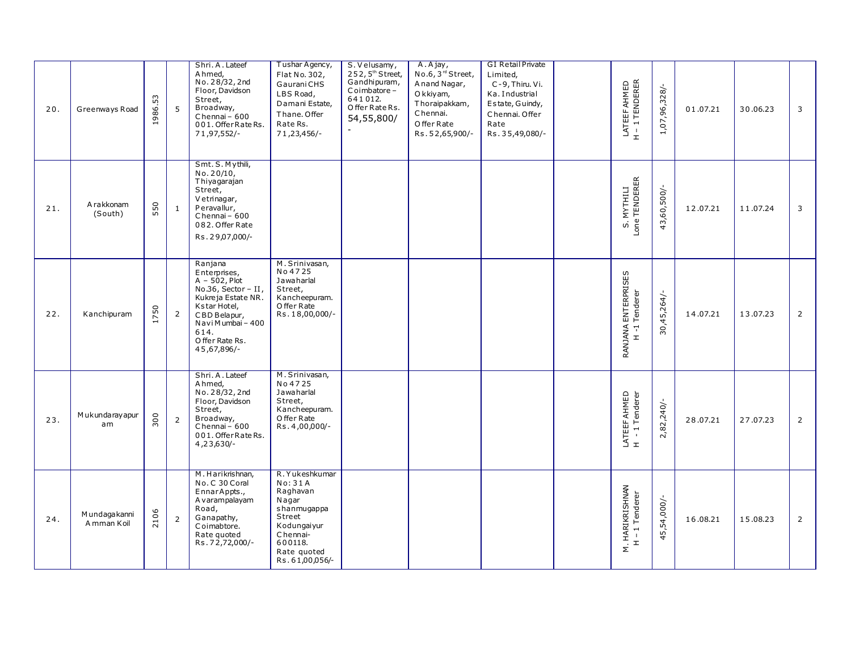| 20. | Greenways Road               | 53<br>1986.          | 5              | Shri. A. Lateef<br>A hmed,<br>No. 28/32, 2nd<br>Floor, Davidson<br>Street,<br>Broadway,<br>Chennai-600<br>001. Offer Rate Rs.<br>71,97,552/-                                               | Tushar Agency,<br>Flat No. 302,<br>Gaurani CHS<br>LBS Road,<br>Damani Estate,<br>Thane. Offer<br>Rate Rs.<br>71,23,456/-                       | S. Velusamy,<br>252,5 <sup>th</sup> Street,<br>Gandhipuram,<br>Coimbatore-<br>641012.<br>Offer Rate Rs.<br>54,55,800/<br>$\tilde{\phantom{a}}$ | A.Ajay,<br>No.6, 3 <sup>rd</sup> Street,<br>Anand Nagar,<br>O kkiyam,<br>Thoraipakkam,<br>Chennai.<br>O ffer Rate<br>Rs. 52,65,900/- | <b>GI Retail Private</b><br>Limited,<br>C-9, Thiru. Vi.<br>Ka. Industrial<br>Estate, Guindy,<br>Chennai. Offer<br>Rate<br>Rs.35,49,080/- | LATEEF AHMED<br>H - 1 TENDERER       | 1,07,96,328/-   | 01.07.21 | 30.06.23 | $\mathbf{3}$   |
|-----|------------------------------|----------------------|----------------|--------------------------------------------------------------------------------------------------------------------------------------------------------------------------------------------|------------------------------------------------------------------------------------------------------------------------------------------------|------------------------------------------------------------------------------------------------------------------------------------------------|--------------------------------------------------------------------------------------------------------------------------------------|------------------------------------------------------------------------------------------------------------------------------------------|--------------------------------------|-----------------|----------|----------|----------------|
| 21. | A rakkonam<br>(South)        | 550                  | 1              | Smt. S. Mythili,<br>No. 20/10,<br>Thiyagarajan<br>Street,<br>Vetrinagar,<br>Peravallur,<br>Chennai - 600<br>082. Offer Rate<br>Rs.29,07,000/-                                              |                                                                                                                                                |                                                                                                                                                |                                                                                                                                      |                                                                                                                                          | S. MYTHILI<br>Lone TENDERER          | 43,60,500/-     | 12.07.21 | 11.07.24 | 3              |
| 22. | Kanchipuram                  | 50<br>$\overline{1}$ | 2              | Ranjana<br>Enterprises,<br>$A - 502$ , Plot<br>No.36, Sector - $II$ ,<br>Kukreja Estate NR.<br>Kstar Hotel,<br>CBD Belapur,<br>Navi Mumbai - 400<br>614.<br>O ffer Rate Rs.<br>45,67,896/- | M. Srinivasan,<br>No 4725<br>Jawaharlal<br>Street,<br>Kancheepuram.<br>O ffer Rate<br>Rs. 18,00,000/-                                          |                                                                                                                                                |                                                                                                                                      |                                                                                                                                          | RANJANA ENTERPRISES<br>H -1 Tenderer | 30,45,264/      | 14.07.21 | 13.07.23 | $\overline{2}$ |
| 23. | Mukundarayapur<br>am         | 300                  | $\overline{2}$ | Shri.A.Lateef<br>A hmed,<br>No. 28/32, 2nd<br>Floor, Davidson<br>Street,<br>Broadway,<br>Chennai - 600<br>001. Offer Rate Rs.<br>$4,23,630/-$                                              | M. Srinivasan,<br>No 4725<br>Jawaharlal<br>Street,<br>Kancheepuram.<br>O ffer Rate<br>Rs. 4,00,000/-                                           |                                                                                                                                                |                                                                                                                                      |                                                                                                                                          | LATEEF AHMED<br>H - 1 Tenderer       | 2,82,240/-      | 28.07.21 | 27.07.23 | $\overline{2}$ |
| 24. | Mundaga kanni<br>A mman Koil | 2106                 | $\overline{2}$ | M. Harikrishnan,<br>No.C 30 Coral<br>EnnarAppts.,<br>A varampalayam<br>Road,<br>Ganapathy,<br>Coimabtore.<br>Rate quoted<br>Rs.72,72,000/-                                                 | R. Yukeshkumar<br>No: 31A<br>Raghavan<br>Nagar<br>shanmugappa<br>Street<br>Kodungaiyur<br>Chennai-<br>600118.<br>Rate guoted<br>Rs.61,00,056/- |                                                                                                                                                |                                                                                                                                      |                                                                                                                                          | M. HARIKRISHNAN<br>H - 1 Tenderer    | 54,000/-<br>45, | 16.08.21 | 15.08.23 | $\overline{2}$ |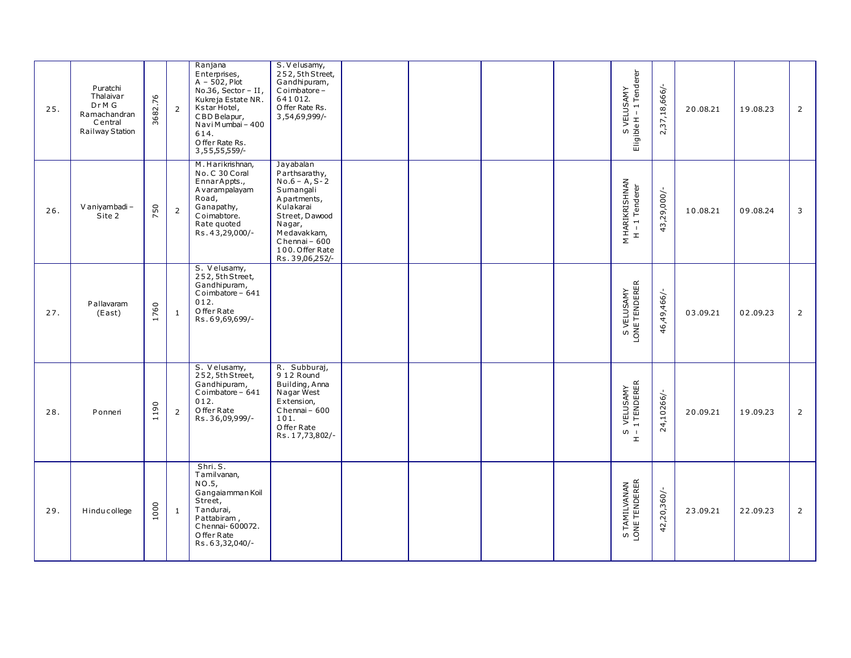| 25. | Puratchi<br>Thalaivar<br>Dr <sub>M</sub> G<br>Ramachandran<br>Central<br>Railway Station | 3682.76                        | $\overline{2}$ | Ranjana<br>Enterprises,<br>$A - 502$ , Plot<br>No.36, Sector - II,<br>Kukreja Estate NR.<br>Kstar Hotel,<br>CBD Belapur,<br>Navi Mumbai - 400<br>614.<br>O ffer Rate Rs.<br>3, 55, 55, 559/- | S. Velusamy,<br>252, 5th Street,<br>Gandhipuram,<br>Coimbatore-<br>641012.<br>O ffer Rate Rs.<br>3,54,69,999/-                                                                            |  |  | S VELUSAMY<br>Eligible H – 1 Tenderer                   | 2,37,18,666/- | 20.08.21 | 19.08.23 | $\overline{2}$ |
|-----|------------------------------------------------------------------------------------------|--------------------------------|----------------|----------------------------------------------------------------------------------------------------------------------------------------------------------------------------------------------|-------------------------------------------------------------------------------------------------------------------------------------------------------------------------------------------|--|--|---------------------------------------------------------|---------------|----------|----------|----------------|
| 26. | V aniyambadi-<br>Site 2                                                                  | 50<br>$\overline{\phantom{1}}$ | $\overline{2}$ | M. Harikrishnan,<br>No.C 30 Coral<br>EnnarAppts.,<br>A varampalayam<br>Road,<br>Ganapathy,<br>Coimabtore.<br>Rate guoted<br>Rs.43,29,000/-                                                   | Jayabalan<br>Parthsarathy,<br>$No.6 - A, S-2$<br>Sumangali<br>A partments,<br>Kulakarai<br>Street, Dawood<br>Nagar,<br>Medavakkam,<br>Chennai - 600<br>100. Offer Rate<br>Rs. 39,06,252/- |  |  | M HARIKRISHNAN<br>H - 1 Tenderer                        | 43,29,000/-   | 10.08.21 | 09.08.24 | 3              |
| 27. | Pallavaram<br>(East)                                                                     | 1760                           | $\mathbf{1}$   | S. Velusamy,<br>252, 5th Street,<br>Gandhipuram,<br>Coimbatore - 641<br>012.<br>O ffer Rate<br>Rs.69,69,699/-                                                                                |                                                                                                                                                                                           |  |  | S VELUSAMY<br>LONE TENDERER                             | 46,49,466/-   | 03.09.21 | 02.09.23 | $\overline{2}$ |
| 28. | Ponneri                                                                                  | 1190                           | $\overline{2}$ | S. Velusamy,<br>252, 5th Street,<br>Gandhipuram,<br>Coimbatore - 641<br>012.<br>O ffer Rate<br>Rs.36,09,999/-                                                                                | R. Subburaj,<br>912 Round<br>Building, Anna<br>Nagar West<br>Extension,<br>Chennai - 600<br>101.<br>Offer Rate<br>Rs. 17,73,802/-                                                         |  |  | VELUSAMY<br>1 TENDERER<br>$\overline{0}$<br>$\mathbf r$ | 24,10266/-    | 20.09.21 | 19.09.23 | $\overline{2}$ |
| 29. | Hinducollege                                                                             | 1000                           | 1              | Shri.S.<br>Tamilvanan,<br>NO.5,<br>Gangaiamman Koil<br>Street,<br>Tandurai,<br>Pattabiram,<br>Chennai-600072.<br>O ffer Rate<br>Rs.63,32,040/-                                               |                                                                                                                                                                                           |  |  | S TAMILVANAN<br>LONE TENDERER                           | 42,20,360/-   | 23.09.21 | 22.09.23 | $\overline{2}$ |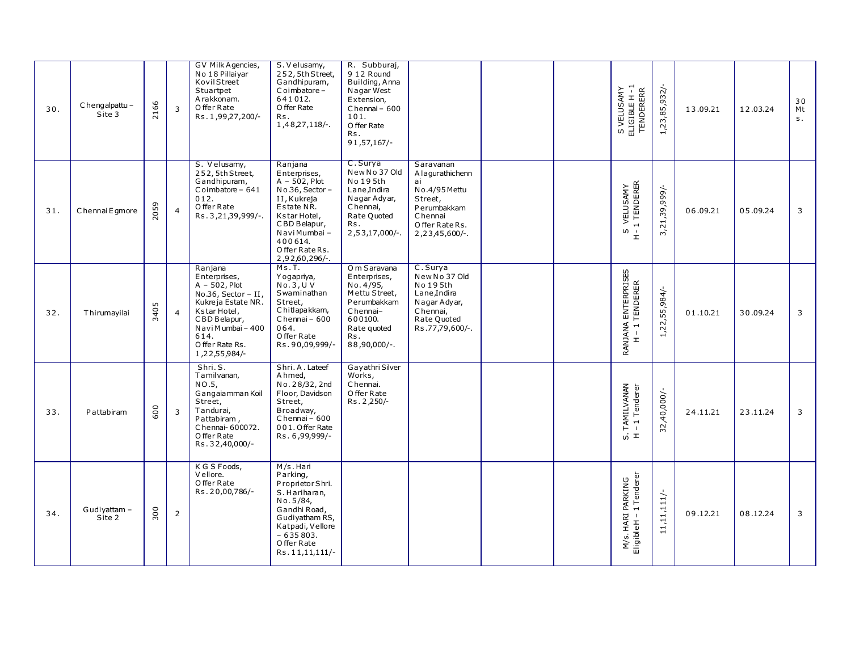| 30. | Chengalpattu-<br>Site 3 | 2166 | $\overline{3}$ | GV Milk Agencies,<br>No 18 Pillaiyar<br>KovilStreet<br>Stuartpet<br>A rakkonam.<br>O ffer Rate<br>Rs. 1,99,27,200/-                                                                       | S. Velusamy,<br>252, 5th Street,<br>Gandhipuram,<br>Coimbatore-<br>641012.<br>O ffer Rate<br>Rs.<br>1,48,27,118/-.                                                                          | R. Subburaj,<br>9 12 Round<br>Building, Anna<br>Nagar West<br>Extension,<br>Chennai - 600<br>101.<br>O ffer Rate<br>Rs.<br>91,57,167   |                                                                                                                                  |  | S VELUSAMY<br>ELIGIBLE H - 1<br>TENDERERR             | 1,23,85,932/- | 13.09.21 | 12.03.24 | 30<br>Mt<br>S <sub>1</sub> |
|-----|-------------------------|------|----------------|-------------------------------------------------------------------------------------------------------------------------------------------------------------------------------------------|---------------------------------------------------------------------------------------------------------------------------------------------------------------------------------------------|----------------------------------------------------------------------------------------------------------------------------------------|----------------------------------------------------------------------------------------------------------------------------------|--|-------------------------------------------------------|---------------|----------|----------|----------------------------|
| 31. | Chennai Egmore          | 2059 | $\overline{4}$ | S. Velusamy,<br>252, 5th Street,<br>Gandhipuram,<br>Coimbatore - 641<br>012.<br>O ffer Rate<br>Rs. 3, 21, 39, 999/-.                                                                      | Ranjana<br>Enterprises,<br>$A - 502$ , Plot<br>No.36, Sector -<br>II, Kukreja<br>Estate NR.<br>Kstar Hotel,<br>CBD Belapur,<br>Navi Mumbai -<br>400614.<br>Offer Rate Rs.<br>2,92,60,296/-. | C. Surya<br>New No 37 Old<br>No 195th<br>Lane, Indira<br>Nagar Adyar,<br>Chennai,<br>Rate Quoted<br>Rs.<br>$2,53,17,000/-$ .           | Saravanan<br>A la qurathichenn<br>ai<br>No.4/95 Mettu<br>Street,<br>Perumbakkam<br>Chennai<br>Offer Rate Rs.<br>$2,23,45,600/-.$ |  | S VELUSAMY<br>1 TENDERER<br>S.<br>$\stackrel{+}{\pm}$ | 3,21,39,999/- | 06.09.21 | 05.09.24 | 3                          |
| 32. | Thirumayilai            | 3405 | $\overline{4}$ | Ranjana<br>Enterprises,<br>$A - 502$ , Plot<br>No.36, Sector - II,<br>Kukreja Estate NR.<br>Kstar Hotel,<br>CBD Belapur,<br>Navi Mumbai - 400<br>614.<br>O ffer Rate Rs.<br>1,22,55,984/- | Ms.T.<br>Yogapriya,<br>No.3, U. V<br>Swaminathan<br>Street,<br>Chitlapakkam,<br>Chennai - 600<br>064.<br>Offer Rate<br>Rs.90,09,999/-                                                       | O m Saravana<br>Enterprises,<br>No. 4/95,<br>Mettu Street,<br>Perumbakkam<br>Chennai-<br>600100.<br>Rate quoted<br>Rs.<br>88,90,000/-. | C. Surya<br>New No 37 Old<br>No 195th<br>Lane, Indira<br>Nagar Adyar,<br>Chennai,<br>Rate Quoted<br>Rs.77,79,600/-.              |  | RANJANA ENTERPRISES<br>H – 1 TENDERER                 | 1,22,55,984/  | 01.10.21 | 30.09.24 | 3                          |
| 33. | Pattabiram              | 600  | $\overline{3}$ | Shri.S.<br>Tamilvanan,<br>NO.5,<br>Gangaiamman Koil<br>Street,<br>Tandurai,<br>Pattabiram,<br>Chennai-600072.<br>O ffer Rate<br>Rs.32,40,000/-                                            | Shri. A. Lateef<br>Ahmed,<br>No. 28/32, 2nd<br>Floor, Davidson<br>Street,<br>Broadway,<br>Chennai - 600<br>001. Offer Rate<br>Rs. 6,99,999/-                                                | Gayathri Silver<br>Works,<br>Chennai.<br>O ffer Rate<br>Rs. 2,250/-                                                                    |                                                                                                                                  |  | TAMILVANAN<br>-1 Tenderer<br>$ω,$ $\pm$               | 32,40,000/-   | 24.11.21 | 23.11.24 | $\mathbf{3}$               |
| 34. | Gudiyattam-<br>Site 2   | 300  | $\overline{2}$ | K G S Foods,<br>V ellore.<br>O ffer Rate<br>Rs.20,00,786/-                                                                                                                                | M/s.Hari<br>Parking,<br>Proprietor Shri.<br>S. Hariharan,<br>No.5/84,<br>Gandhi Road,<br>Gudiyatham RS,<br>Katpadi, Vellore<br>$-635803.$<br>Offer Rate<br>Rs. 11, 11, 111/-                |                                                                                                                                        |                                                                                                                                  |  | M/s. HARI PARKING<br>Eligible H – 1 Tenderer          | 11,11,111/-   | 09.12.21 | 08.12.24 | $\mathbf{3}$               |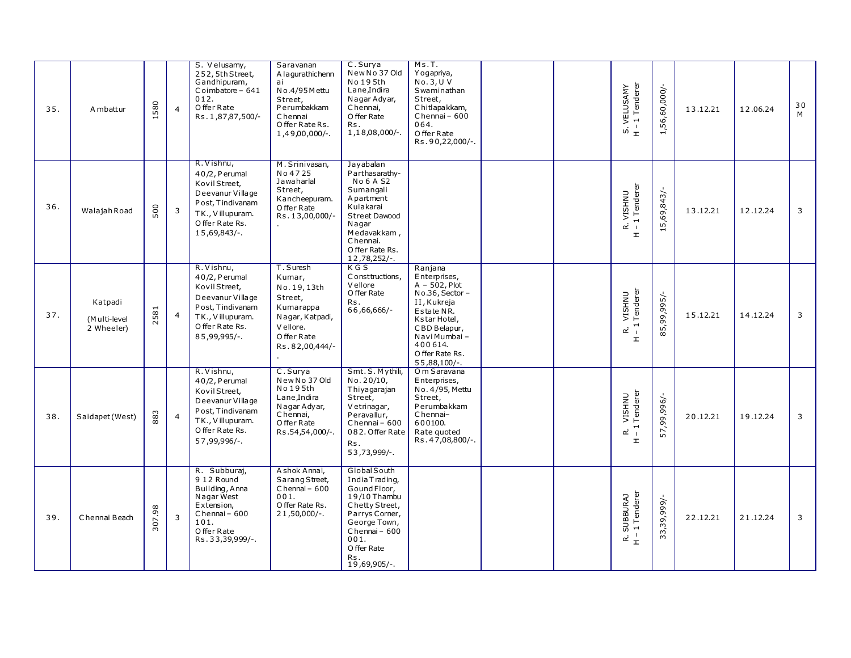| 35. | A mbattur                             | 580       | $\overline{4}$ | S. Velusamy,<br>252, 5th Street,<br>Gandhipuram,<br>Coimbatore - 641<br>012.<br>O ffer Rate<br>Rs. 1,87,87,500/-                            | Saravanan<br>A la qurathichenn<br>ai<br>No.4/95 M ettu<br>Street,<br>Perumbakkam<br>Chennai<br>Offer Rate Rs.<br>1,49,00,000/-. | C. Surya<br>New No 37 Old<br>No 195th<br>Lane, Indira<br>Nagar Adyar,<br>Chennai,<br>O ffer Rate<br>Rs.<br>$1,18,08,000/-$                                                        | Ms.T.<br>Yogapriya,<br>No.3, U. V<br>Swaminathan<br>Street,<br>Chitlapakkam,<br>$Chennai - 600$<br>064.<br>Offer Rate<br>Rs.90,22,000/-.                                                        |  | S. VELUSAMY<br>H - 1 Tenderer                                                          | 1,56,60,000/-   | 13.12.21 | 12.06.24 | 30<br>M |
|-----|---------------------------------------|-----------|----------------|---------------------------------------------------------------------------------------------------------------------------------------------|---------------------------------------------------------------------------------------------------------------------------------|-----------------------------------------------------------------------------------------------------------------------------------------------------------------------------------|-------------------------------------------------------------------------------------------------------------------------------------------------------------------------------------------------|--|----------------------------------------------------------------------------------------|-----------------|----------|----------|---------|
| 36. | Walajah Road                          | 500       | 3              | R. Vishnu,<br>40/2, Perumal<br>Kovil Street,<br>Deevanur Village<br>Post, Tindivanam<br>TK., Villupuram.<br>O ffer Rate Rs.<br>15,69,843/-. | M. Srinivasan,<br>No 4725<br>Jawaharlal<br>Street,<br>Kancheepuram.<br>O ffer Rate<br>Rs. 13,00,000/-                           | Jayabalan<br>Parthasarathy-<br><b>No 6 A S2</b><br>Sumangali<br>A partment<br>Kulakarai<br>Street Dawood<br>Nagar<br>Medavakkam,<br>Chennai.<br>O ffer Rate Rs.<br>12,78,252/-.   |                                                                                                                                                                                                 |  | 2. VISHNU<br>· 1 Tenderer<br>$\vec{\alpha}$ $\vec{\beta}$<br>$\mathbbmss{E}$           | 15,69,843/-     | 13.12.21 | 12.12.24 | 3       |
| 37. | Katpadi<br>(Multi-level<br>2 Wheeler) | 2581      | $\overline{4}$ | R. Vishnu,<br>40/2, Perumal<br>Kovil Street,<br>Deevanur Village<br>Post, Tindivanam<br>TK., Villupuram.<br>O ffer Rate Rs.<br>85,99,995/-. | T. Suresh<br>Kumar,<br>No. 19, 13th<br>Street,<br>Kumarappa<br>Nagar, Katpadi,<br>Vellore.<br>Offer Rate<br>Rs.82,00,444/-      | $K$ G S<br>Constituctions.<br>V ellore<br>O ffer Rate<br>Rs.<br>66,66,666/-                                                                                                       | Ranjana<br>Enterprises,<br>$A - 502$ , Plot<br>$No.36$ , Sector -<br>II, Kukreja<br>Estate NR.<br>Kstar Hotel,<br>CBD Belapur,<br>Navi Mumbai -<br>400614.<br>O ffer Rate Rs.<br>$55,88,100/-.$ |  | VISHNU<br>Tenderer<br>$\overline{\phantom{0}}$<br>œ<br>$\mathbf{I}$<br>$\mathbbmss{E}$ | 85,99,995/-     | 15.12.21 | 14.12.24 | 3       |
| 38. | Saidapet (West)                       | 883       | $\overline{4}$ | R. Vishnu,<br>40/2, Perumal<br>Kovil Street,<br>Deevanur Village<br>Post, Tindivanam<br>TK., Villupuram.<br>O ffer Rate Rs.<br>57,99,996/-. | C. Surya<br>New No 37 Old<br>No 195th<br>Lane, Indira<br>Nagar Adyar,<br>Chennai,<br>O ffer Rate<br>Rs.54,54,000/-.             | Smt. S. Mythili,<br>No. 20/10,<br>Thiyagarajan<br>Street,<br>Vetrinagar,<br>Peravallur,<br>Chennai-600<br>082. Offer Rate<br>Rs.<br>53,73,999/-.                                  | Om Saravana<br>Enterprises,<br>No. 4/95, Mettu<br>Street,<br>Perumbakkam<br>Chennai-<br>600100.<br>Rate quoted<br>Rs. 47,08,800/-.                                                              |  | Tenderer<br><b>VISHNU</b><br>$\rightarrow$<br>œ<br>$\overline{1}$<br>$\mathbbmss{}$    | -/966'66'<br>57 | 20.12.21 | 19.12.24 | 3       |
| 39. | Chennai Beach                         | 98<br>307 | $\overline{3}$ | R. Subburaj,<br>912 Round<br>Building, Anna<br>Nagar West<br>Extension,<br>Chennai - 600<br>101.<br>O ffer Rate<br>Rs.33,39,999/-.          | Ashok Annal,<br>Sarang Street,<br>Chennai - 600<br>001.<br>O ffer Rate Rs.<br>$21,50,000/-$ .                                   | Global South<br>India Trading,<br>Gound Floor,<br>19/10 Thambu<br>Chetty Street,<br>Parrys Corner,<br>George Town,<br>Chennai - 600<br>001.<br>O ffer Rate<br>Rs.<br>19,69,905/-. |                                                                                                                                                                                                 |  | SUBBURAJ<br>- 1 Tenderer<br>$\vec{r}$ +                                                | 33,39,999/-     | 22.12.21 | 21.12.24 | 3       |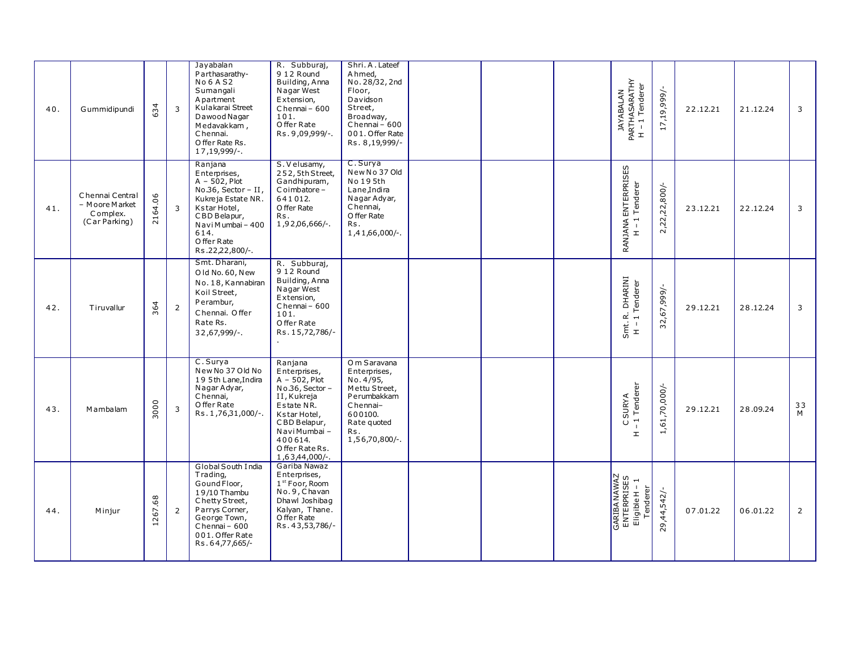| 40. | Gummidipundi                                                   | 634     | $\overline{3}$ | Jayabalan<br>Parthasarathy-<br><b>No 6 A S2</b><br>Sumangali<br>A partment<br>Kulakarai Street<br>Dawood Nagar<br>Medavakkam,<br>Chennai.<br>O ffer Rate Rs.<br>17, 19, 999/-.          | R. Subburaj,<br>9 12 Round<br>Building, Anna<br>Nagar West<br>Extension,<br>Chennai - 600<br>101.<br>Offer Rate<br>Rs. 9,09,999/-.                                                             | Shri. A. Lateef<br>A hmed,<br>No. 28/32, 2nd<br>Floor,<br>Davidson<br>Street,<br>Broadway,<br>Chennai - 600<br>001. Offer Rate<br>Rs. 8,19,999/- |  | JAYABALAN<br>PARTHASARATHY<br>H – 1 Tenderer                      | 17,19,999/-   | 22.12.21 | 21.12.24 | 3              |
|-----|----------------------------------------------------------------|---------|----------------|-----------------------------------------------------------------------------------------------------------------------------------------------------------------------------------------|------------------------------------------------------------------------------------------------------------------------------------------------------------------------------------------------|--------------------------------------------------------------------------------------------------------------------------------------------------|--|-------------------------------------------------------------------|---------------|----------|----------|----------------|
| 41. | Chennai Central<br>- Moore Market<br>Complex.<br>(Car Parking) | 2164.06 | $\overline{3}$ | Ranjana<br>Enterprises,<br>$A - 502$ , Plot<br>No.36, Sector - II,<br>Kukreja Estate NR.<br>Kstar Hotel,<br>CBD Belapur,<br>Navi Mumbai - 400<br>614.<br>O ffer Rate<br>Rs.22,22,800/-. | S. V elusamy,<br>252, 5th Street,<br>Gandhipuram,<br>Coimbatore-<br>641012.<br>O ffer Rate<br>Rs.<br>1,92,06,666/-.                                                                            | C. Surya<br>New No 37 Old<br>No 195th<br>Lane, Indira<br>Nagar Adyar,<br>Chennai,<br>O ffer Rate<br>Rs.<br>1,41,66,000/-.                        |  | RANJANA ENTERPRISES<br>H – 1 Tenderer                             | 2,22,22,800/- | 23.12.21 | 22.12.24 | 3              |
| 42. | Tiruvallur                                                     | 364     | $\overline{2}$ | Smt. Dharani,<br>Old No. 60, New<br>No. 18, Kannabiran<br>Koil Street,<br>Perambur,<br>Chennai, Offer<br>Rate Rs.<br>$32,67,999/-$ .                                                    | R. Subburaj,<br>9 12 Round<br>Building, Anna<br>Nagar West<br>Extension,<br>Chennai - 600<br>101.<br>O ffer Rate<br>Rs. 15,72,786/-                                                            |                                                                                                                                                  |  | R. DHARINI<br>1 Tenderer<br>Smt.<br>$\blacksquare$<br>$\mathbf r$ | 32,67,999/-   | 29.12.21 | 28.12.24 | 3              |
| 43. | Mambalam                                                       | 3000    | $\overline{3}$ | C. Surya<br>New No 37 Old No<br>19 5th Lane, Indira<br>Nagar Adyar,<br>Chennai,<br>O ffer Rate<br>Rs.1,76,31,000/-.                                                                     | Ranjana<br>Enterprises,<br>$A - 502$ , Plot<br>No.36, Sector -<br>II, Kukreja<br>Estate NR.<br>Kstar Hotel,<br>CBD Belapur,<br>Navi Mumbai -<br>400614.<br>Offer Rate Rs.<br>$1,63,44,000/-$ . | O m Saravana<br>Enterprises,<br>No. 4/95,<br>Mettu Street,<br>Perumbakkam<br>Chennai-<br>600100.<br>Rate quoted<br>Rs.<br>1,56,70,800/-.         |  | C SURYA<br>-1 Tenderer<br>$\mathbbmss{E}$                         | 1,61,70,000/- | 29.12.21 | 28.09.24 | 33<br>M        |
| 44. | Minjur                                                         | 1267.68 | $\overline{2}$ | Global South India<br>Trading,<br>Gound Floor,<br>19/10 Thambu<br>Chetty Street,<br>Parrys Corner,<br>George Town,<br>Chennai - 600<br>001. Offer Rate<br>Rs.64,77,665/-                | Gariba Nawaz<br>Enterprises,<br>1 <sup>st</sup> Foor, Room<br>No.9, Chavan<br>Dhawl Joshibag<br>Kalyan, Thane.<br>O ffer Rate<br>Rs. 43,53,786/-                                               |                                                                                                                                                  |  | GARIBA NAWAZ<br>ENTERPRISES<br>Eligible H – 1<br>Tenderer         | 29,44,542/-   | 07.01.22 | 06.01.22 | $\overline{2}$ |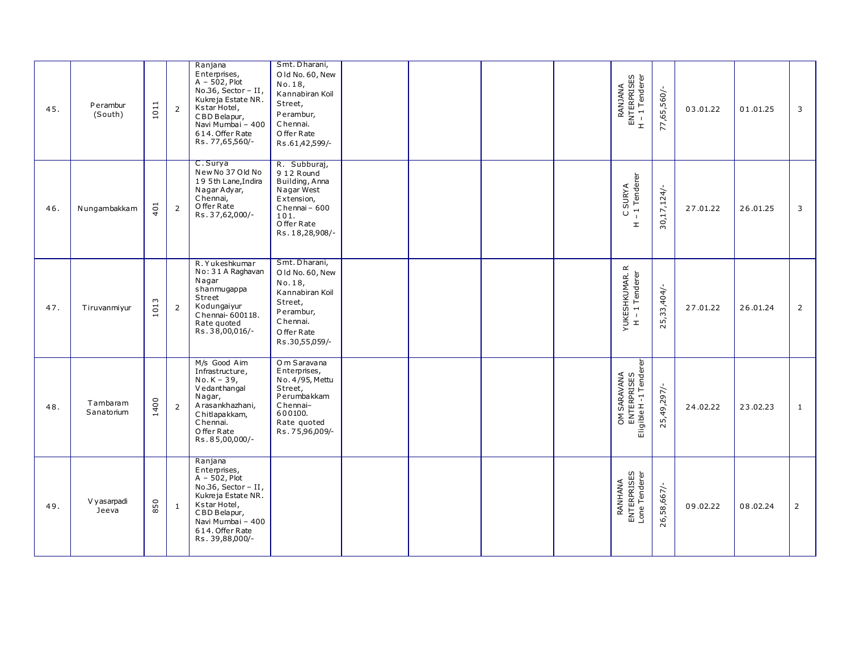| 45. | Perambur<br>(South)    | 1011 | $\overline{2}$ | Ranjana<br>Enterprises,<br>$A - 502$ , Plot<br>No.36, Sector $-$ II,<br>Kukreja Estate NR.<br>Kstar Hotel,<br>CBD Belapur,<br>Navi Mumbai - 400<br>614. Offer Rate<br>Rs. 77,65,560/- | Smt. Dharani,<br>Old No. 60, New<br>No. 18,<br>Kannabiran Koil<br>Street,<br>Perambur,<br>Chennai.<br>O ffer Rate<br>Rs.61,42,599/- |  |  | RANJANA<br>ENTERPRISES<br>H – 1 Tenderer<br>$\pm$    | 77,65,560/-   | 03.01.22 | 01.01.25 | 3              |
|-----|------------------------|------|----------------|---------------------------------------------------------------------------------------------------------------------------------------------------------------------------------------|-------------------------------------------------------------------------------------------------------------------------------------|--|--|------------------------------------------------------|---------------|----------|----------|----------------|
| 46. | Nungambakkam           | 401  | $\overline{2}$ | C. Surya<br>New No 37 Old No<br>195th Lane, Indira<br>Nagar Adyar,<br>Chennai,<br>O ffer Rate<br>Rs.37,62,000/-                                                                       | R. Subburaj,<br>912 Round<br>Building, Anna<br>Nagar West<br>Extension,<br>Chennai - 600<br>101.<br>Offer Rate<br>Rs. 18,28,908/-   |  |  | C SURYA<br>1 Tenderer<br>$\cup$<br>$\pm$             | $30,17,124/-$ | 27.01.22 | 26.01.25 | 3              |
| 47. | Tiruvanmiyur           | 1013 | $\overline{2}$ | R. Yukeshkumar<br>No: 31 A Raghavan<br>Nagar<br>shanmugappa<br>Street<br>Kodungaiyur<br>Chennai-600118.<br>Rate quoted<br>Rs.38,00,016/-                                              | Smt. Dharani,<br>Old No. 60, New<br>No. 18,<br>Kannabiran Koil<br>Street,<br>Perambur,<br>Chennai.<br>O ffer Rate<br>Rs.30,55,059/- |  |  | YUKESHKUMAR.R<br>H - 1 Tenderer                      | 25,33,404/-   | 27.01.22 | 26.01.24 | $\overline{2}$ |
| 48. | Tambaram<br>Sanatorium | 1400 | $\overline{2}$ | M/s Good Aim<br>Infrastructure,<br>$No.K - 39,$<br>V edanthangal<br>Nagar,<br>A rasankhazhani,<br>Chitlapakkam,<br>Chennai.<br>O ffer Rate<br>Rs.85,00,000/-                          | Om Saravana<br>Enterprises,<br>No. 4/95, Mettu<br>Street,<br>Perumbakkam<br>Chennai-<br>600100.<br>Rate quoted<br>Rs.75,96,009/-    |  |  | OM SARAVANA<br>ENTERPRISES<br>Eligible H -1 Tenderer | 25,49,297/-   | 24.02.22 | 23.02.23 | $\mathbf{1}$   |
| 49. | V y as arpadi<br>Jeeva | 850  | 1              | Ranjana<br>Enterprises,<br>$A - 502$ , Plot<br>No.36, Sector - II,<br>Kukreja Estate NR.<br>Kstar Hotel,<br>CBD Belapur,<br>Navi Mumbai - 400<br>614. Offer Rate<br>Rs. 39,88,000/-   |                                                                                                                                     |  |  | RANHANA<br>ENTERPRISES<br>Lone Tenderer              | 26,58,667/-   | 09.02.22 | 08.02.24 | $\overline{2}$ |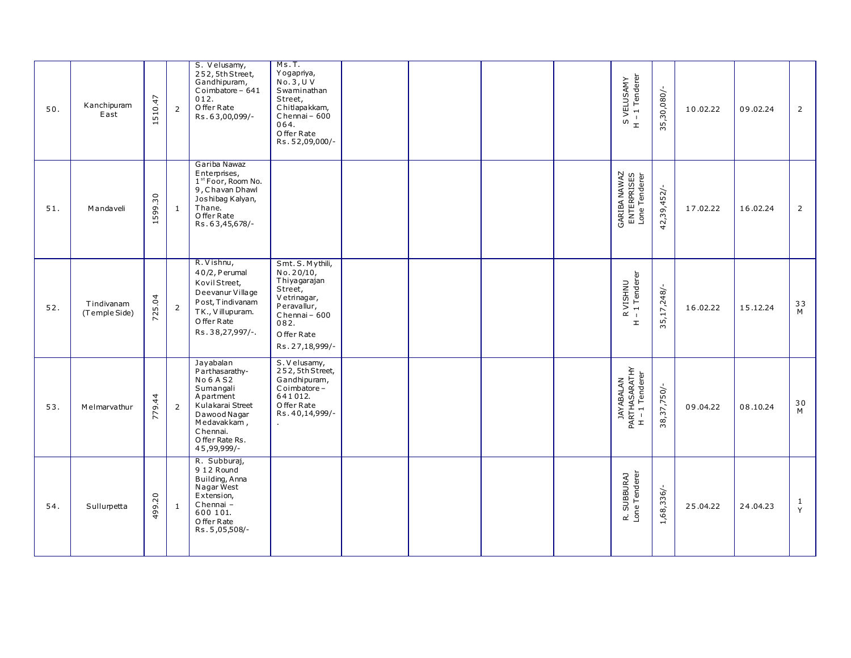| 50. | Kanchipuram<br>East         | 510.47 | $\overline{2}$ | S. Velusamy,<br>252, 5th Street,<br>Gandhipuram,<br>Coimbatore - 641<br>012.<br>O ffer Rate<br>Rs.63,00,099/-                                                               | Ms.T.<br>Yogapriya,<br>No.3, U. V<br>Swaminathan<br>Street,<br>Chitlapakkam,<br>Chennai - 600<br>064.<br>Offer Rate<br>Rs.52,09,000/-              |  |  | S VELUSAMY<br>H - 1 Tenderer                 | 35,30,080/-    | 10.02.22 | 09.02.24 | $\overline{2}$ |
|-----|-----------------------------|--------|----------------|-----------------------------------------------------------------------------------------------------------------------------------------------------------------------------|----------------------------------------------------------------------------------------------------------------------------------------------------|--|--|----------------------------------------------|----------------|----------|----------|----------------|
| 51. | M andaveli                  | 599.30 | 1              | Gariba Nawaz<br>Enterprises,<br>1 <sup>st</sup> Foor, Room No.<br>9, Chavan Dhawl<br>Joshibag Kalyan,<br>Thane.<br>O ffer Rate<br>Rs.63,45,678/-                            |                                                                                                                                                    |  |  | GARIBA NAWAZ<br>ENTERPRISES<br>Lone Tenderer | 42,39,452/-    | 17.02.22 | 16.02.24 | 2              |
| 52. | Tindivanam<br>(Temple Side) | 725.04 | $\overline{2}$ | R. Vishnu,<br>40/2, P erumal<br>Kovil Street,<br>Deevanur Village<br>Post, Tindivanam<br>TK., Villupuram.<br>O ffer Rate<br>Rs.38,27,997/-.                                 | Smt. S. Mythili,<br>No.20/10,<br>Thiyagarajan<br>Street,<br>Vetrinagar,<br>Peravallur,<br>Chennai - 600<br>082.<br>Offer Rate<br>Rs. 27, 18, 999/- |  |  | R VISHNU<br>-1 Tenderer<br>$\mathbbmss{E}$   | $35,17,248$ /- | 16.02.22 | 15.12.24 | 33<br>M        |
| 53. | Melmarvathur                | 779.44 | $\overline{2}$ | Jayabalan<br>Parthasarathy-<br><b>No 6 A S2</b><br>Sumangali<br>A partment<br>Kulakarai Street<br>Dawood Nagar<br>Medavakkam,<br>Chennai.<br>O ffer Rate Rs.<br>45,99,999/- | S. V elusamy,<br>252, 5th Street,<br>Gandhipuram,<br>Coimbatore-<br>641012.<br>Offer Rate<br>Rs. 40, 14, 999/-                                     |  |  | JAYABALAN<br>PARTHASARATHY<br>H – 1 Tenderer | 38,37,750/-    | 09.04.22 | 08.10.24 | 30<br>M        |
| 54. | Sullumetta                  | 499.20 | $\mathbf{1}$   | R. Subburaj,<br>9 12 Round<br>Building, Anna<br>Nagar West<br>Extension,<br>Chennai-<br>600 101.<br>O ffer Rate<br>Rs. 5,05,508/-                                           |                                                                                                                                                    |  |  | R. SUBBURAJ<br>Lone Tenderer                 | 1,68,336/-     | 25.04.22 | 24.04.23 | 1<br>Y         |